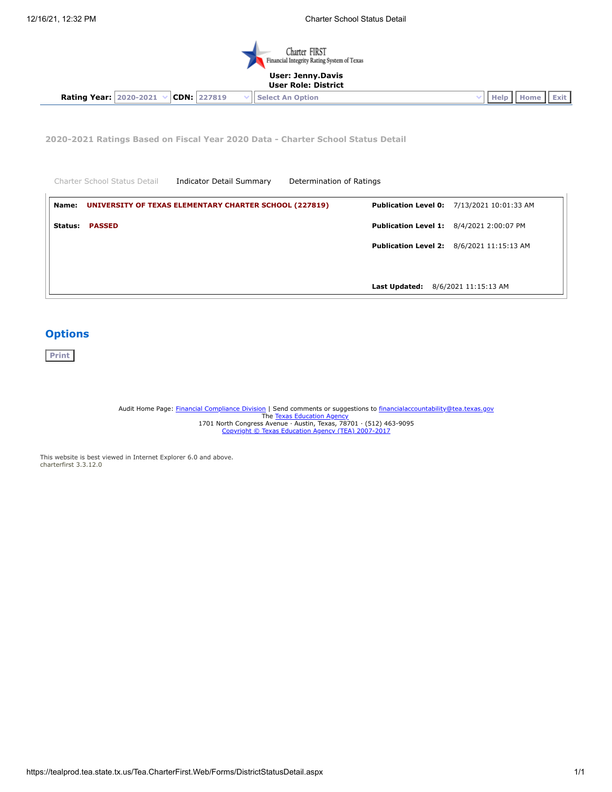

### **User Role: District**

**Rating Year:** 2020-2021 **CDN:** 227819 **Select An Option Help Home Exit** 

**2020-2021 Ratings Based on Fiscal Year 2020 Data - Charter School Status Detail**

|         | Charter School Status Detail | <b>Indicator Detail Summary</b>                               | Determination of Ratings |               |                                                   |
|---------|------------------------------|---------------------------------------------------------------|--------------------------|---------------|---------------------------------------------------|
| Name:   |                              | <b>UNIVERSITY OF TEXAS ELEMENTARY CHARTER SCHOOL (227819)</b> |                          |               | <b>Publication Level 0: 7/13/2021 10:01:33 AM</b> |
| Status: | <b>PASSED</b>                |                                                               |                          |               | <b>Publication Level 1: 8/4/2021 2:00:07 PM</b>   |
|         |                              |                                                               |                          |               | <b>Publication Level 2:</b> 8/6/2021 11:15:13 AM  |
|         |                              |                                                               |                          |               |                                                   |
|         |                              |                                                               |                          | Last Updated: | 8/6/2021 11:15:13 AM                              |

# **Options**

**Print**

Audit Home Page: <u>Financial [Compliance](https://tea.texas.gov/Finance_and_Grants/Financial_Accountability/) Division</u> | Send comments or suggestions to <u>[financialaccountability@tea.texas.gov](mailto:financialaccountability@tea.texas.gov)</u><br>The <u>Texas [Education](http://tea.texas.gov/) Agency</u><br>1701 North Congress Avenue - Austin, Texas, 78701 · (512) 463-9095<br>Cop

This website is best viewed in Internet Explorer 6.0 and above. charterfirst 3.3.12.0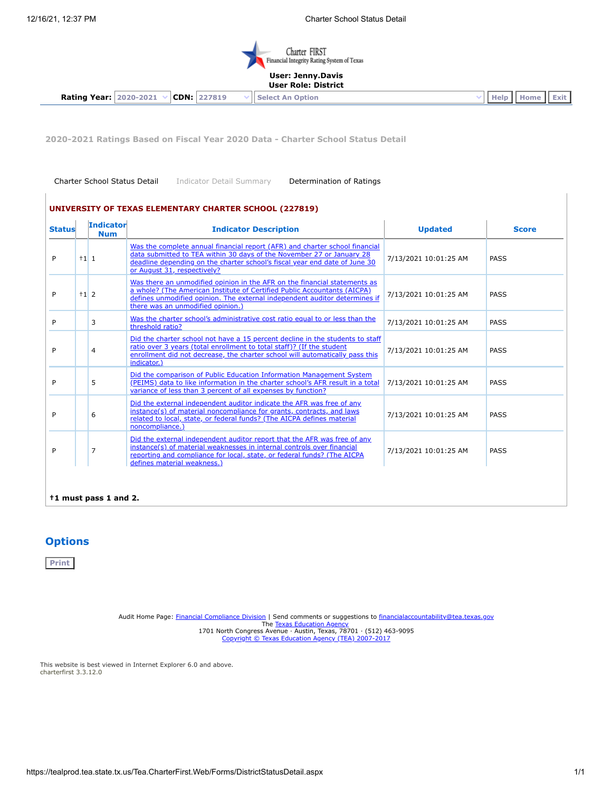$\overline{1}$ 



### **User: Jenny.Davis User Role: District**

**Rating Year:**  $\begin{bmatrix} 2020-2021 & \sqrt{\text{CDN:}} & 227819 & \sqrt{\text{Select An Option}} \\ 0 & 0 & 0 & \sqrt{\text{Help:}} \\ 0 & 0 & 0 & 0 & \sqrt{\text{Help:}} \\ 0 & 0 & 0 & 0 & \sqrt{\text{Help:}} \\ 0 & 0 & 0 & 0 & \sqrt{\text{Help:}} \\ 0 & 0 & 0 & 0 & \sqrt{\text{Help:}} \\ 0 & 0 & 0 & 0 & \sqrt{\text{Help:}} \\ 0 & 0 & 0 & 0 & 0 & \sqrt{\text{Help:}} \\ 0 & 0 & 0 & 0 &$ 

**2020-2021 Ratings Based on Fiscal Year 2020 Data - Charter School Status Detail**

Charter School Status Detail Indicator Detail Summary Determination of Ratings

| <b>Status</b> |        | <b>Indicator</b><br><b>Num</b> | <b>Indicator Description</b>                                                                                                                                                                                                                                             | <b>Updated</b>        | <b>Score</b> |
|---------------|--------|--------------------------------|--------------------------------------------------------------------------------------------------------------------------------------------------------------------------------------------------------------------------------------------------------------------------|-----------------------|--------------|
| P             | $+1$ 1 |                                | Was the complete annual financial report (AFR) and charter school financial<br>data submitted to TEA within 30 days of the November 27 or January 28<br>deadline depending on the charter school's fiscal year end date of June 30<br>or August 31, respectively?        | 7/13/2021 10:01:25 AM | <b>PASS</b>  |
| P             | $+1$ 2 |                                | Was there an unmodified opinion in the AFR on the financial statements as<br>a whole? (The American Institute of Certified Public Accountants (AICPA)<br>defines unmodified opinion. The external independent auditor determines if<br>there was an unmodified opinion.) | 7/13/2021 10:01:25 AM | PASS         |
| P             |        | 3                              | Was the charter school's administrative cost ratio equal to or less than the<br>threshold ratio?                                                                                                                                                                         | 7/13/2021 10:01:25 AM | PASS         |
| P             |        | 4                              | Did the charter school not have a 15 percent decline in the students to staff<br>ratio over 3 years (total enrollment to total staff)? (If the student<br>enrollment did not decrease, the charter school will automatically pass this<br>indicator.)                    | 7/13/2021 10:01:25 AM | PASS         |
| P             |        | 5                              | Did the comparison of Public Education Information Management System<br>(PEIMS) data to like information in the charter school's AFR result in a total<br>variance of less than 3 percent of all expenses by function?                                                   | 7/13/2021 10:01:25 AM | PASS         |
| P             |        | 6                              | Did the external independent auditor indicate the AFR was free of any<br>instance(s) of material noncompliance for grants, contracts, and laws<br>related to local, state, or federal funds? (The AICPA defines material<br>noncompliance.)                              | 7/13/2021 10:01:25 AM | PASS         |
| P             |        | $\overline{7}$                 | Did the external independent auditor report that the AFR was free of any<br>instance(s) of material weaknesses in internal controls over financial<br>reporting and compliance for local, state, or federal funds? (The AICPA<br>defines material weakness.)             | 7/13/2021 10:01:25 AM | PASS         |

# **Options**

**Print**

Audit Home Page: <u>Financial [Compliance](https://tea.texas.gov/Finance_and_Grants/Financial_Accountability/) Division</u> | Send comments or suggestions to <u>[financialaccountability@tea.texas.gov](mailto:financialaccountability@tea.texas.gov)</u><br>The <u>Texas [Education](http://tea.texas.gov/) Agency</u><br>1701 North Congress Avenue • Austin, Texas, 78701 • (512) 463-9095<br><u>Co</u>

This website is best viewed in Internet Explorer 6.0 and above. charterfirst 3.3.12.0